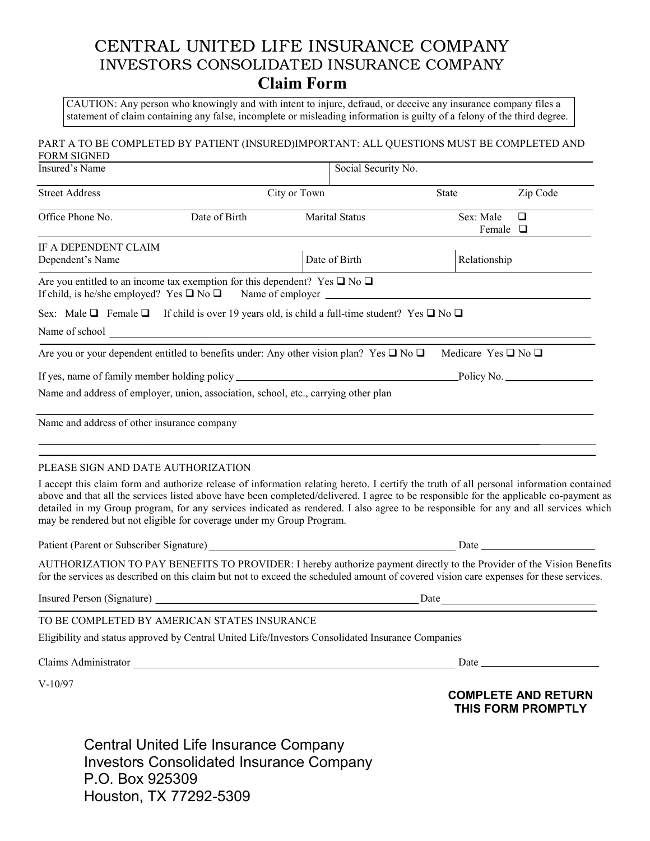## CENTRAL UNITED LIFE INSURANCE COMPANY INVESTORS CONSOLIDATED INSURANCE COMPANY **Claim Form**

 CAUTION: Any person who knowingly and with intent to injure, defraud, or deceive any insurance company files a statement of claim containing any false, incomplete or misleading information is guilty of a felony of the third degree.

## PART A TO BE COMPLETED BY PATIENT (INSURED)IMPORTANT: ALL QUESTIONS MUST BE COMPLETED AND FORM SIGNED

| L'OMM PIONED                                |                                                                                                                                                                                                                                                                                                                                                                                                                                                                                                    |                       |                     |                                      |                                                  |  |  |  |
|---------------------------------------------|----------------------------------------------------------------------------------------------------------------------------------------------------------------------------------------------------------------------------------------------------------------------------------------------------------------------------------------------------------------------------------------------------------------------------------------------------------------------------------------------------|-----------------------|---------------------|--------------------------------------|--------------------------------------------------|--|--|--|
| Insured's Name                              |                                                                                                                                                                                                                                                                                                                                                                                                                                                                                                    |                       | Social Security No. |                                      |                                                  |  |  |  |
| <b>Street Address</b>                       |                                                                                                                                                                                                                                                                                                                                                                                                                                                                                                    | City or Town          | State               |                                      | Zip Code                                         |  |  |  |
| Office Phone No.                            | Date of Birth                                                                                                                                                                                                                                                                                                                                                                                                                                                                                      | <b>Marital Status</b> |                     | $\Box$<br>Sex: Male<br>Female $\Box$ |                                                  |  |  |  |
| IF A DEPENDENT CLAIM<br>Dependent's Name    |                                                                                                                                                                                                                                                                                                                                                                                                                                                                                                    | Date of Birth         |                     | Relationship                         |                                                  |  |  |  |
|                                             | Are you entitled to an income tax exemption for this dependent? Yes $\square$ No $\square$<br>If child, is he/she employed? Yes $\Box$ No $\Box$ Name of employer $\Box$                                                                                                                                                                                                                                                                                                                           |                       |                     |                                      |                                                  |  |  |  |
|                                             | Sex: Male $\Box$ Female $\Box$ If child is over 19 years old, is child a full-time student? Yes $\Box$ No $\Box$                                                                                                                                                                                                                                                                                                                                                                                   |                       |                     |                                      |                                                  |  |  |  |
|                                             |                                                                                                                                                                                                                                                                                                                                                                                                                                                                                                    |                       |                     |                                      |                                                  |  |  |  |
|                                             | Are you or your dependent entitled to benefits under: Any other vision plan? Yes $\square$ No $\square$                                                                                                                                                                                                                                                                                                                                                                                            |                       |                     | Medicare Yes $\square$ No $\square$  |                                                  |  |  |  |
|                                             |                                                                                                                                                                                                                                                                                                                                                                                                                                                                                                    |                       |                     |                                      |                                                  |  |  |  |
|                                             | Name and address of employer, union, association, school, etc., carrying other plan                                                                                                                                                                                                                                                                                                                                                                                                                |                       |                     |                                      |                                                  |  |  |  |
| Name and address of other insurance company |                                                                                                                                                                                                                                                                                                                                                                                                                                                                                                    |                       |                     |                                      |                                                  |  |  |  |
| PLEASE SIGN AND DATE AUTHORIZATION          | I accept this claim form and authorize release of information relating hereto. I certify the truth of all personal information contained<br>above and that all the services listed above have been completed/delivered. I agree to be responsible for the applicable co-payment as<br>detailed in my Group program, for any services indicated as rendered. I also agree to be responsible for any and all services which<br>may be rendered but not eligible for coverage under my Group Program. |                       |                     |                                      |                                                  |  |  |  |
|                                             |                                                                                                                                                                                                                                                                                                                                                                                                                                                                                                    |                       |                     |                                      |                                                  |  |  |  |
|                                             | AUTHORIZATION TO PAY BENEFITS TO PROVIDER: I hereby authorize payment directly to the Provider of the Vision Benefits<br>for the services as described on this claim but not to exceed the scheduled amount of covered vision care expenses for these services.                                                                                                                                                                                                                                    |                       |                     |                                      |                                                  |  |  |  |
|                                             |                                                                                                                                                                                                                                                                                                                                                                                                                                                                                                    |                       |                     |                                      | Date                                             |  |  |  |
|                                             | TO BE COMPLETED BY AMERICAN STATES INSURANCE                                                                                                                                                                                                                                                                                                                                                                                                                                                       |                       |                     |                                      |                                                  |  |  |  |
|                                             | Eligibility and status approved by Central United Life/Investors Consolidated Insurance Companies                                                                                                                                                                                                                                                                                                                                                                                                  |                       |                     |                                      |                                                  |  |  |  |
|                                             | Claims Administrator                                                                                                                                                                                                                                                                                                                                                                                                                                                                               |                       |                     |                                      |                                                  |  |  |  |
| $V-10/97$                                   |                                                                                                                                                                                                                                                                                                                                                                                                                                                                                                    |                       |                     |                                      | <b>COMPLETE AND RETURN</b><br>THIS FORM PROMPTLY |  |  |  |
|                                             | Central United Life Insurance Company                                                                                                                                                                                                                                                                                                                                                                                                                                                              |                       |                     |                                      |                                                  |  |  |  |

Central United Life Insurance Company Investors Consolidated Insurance Company P.O. Box 925309 Houston, TX 77292-5309